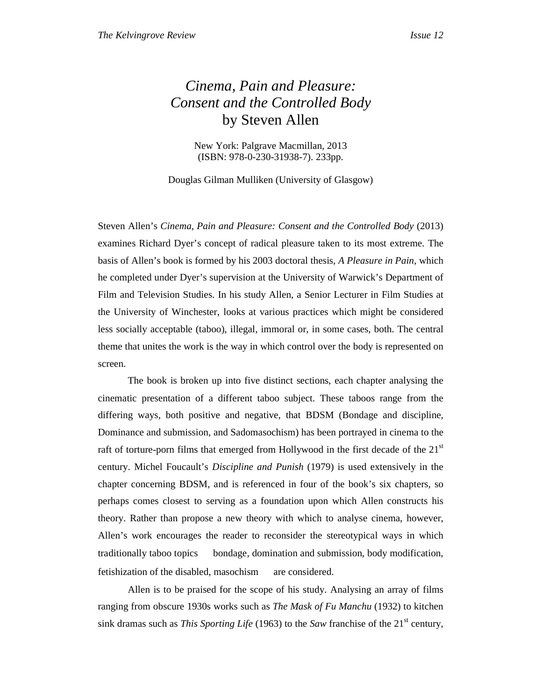## *Cinema, Pain and Pleasure: Consent and the Controlled Body*  by Steven Allen

New York: Palgrave Macmillan, 2013 (ISBN: 978-0-230-31938-7). 233pp.

Douglas Gilman Mulliken (University of Glasgow)

Steven Allen's *Cinema, Pain and Pleasure: Consent and the Controlled Body* (2013) examines Richard Dyer's concept of radical pleasure taken to its most extreme. The basis of Allen's book is formed by his 2003 doctoral thesis, *A Pleasure in Pain*, which he completed under Dyer's supervision at the University of Warwick's Department of Film and Television Studies. In his study Allen, a Senior Lecturer in Film Studies at the University of Winchester, looks at various practices which might be considered less socially acceptable (taboo), illegal, immoral or, in some cases, both. The central theme that unites the work is the way in which control over the body is represented on screen.

 The book is broken up into five distinct sections, each chapter analysing the cinematic presentation of a different taboo subject. These taboos range from the differing ways, both positive and negative, that BDSM (Bondage and discipline, Dominance and submission, and Sadomasochism) has been portrayed in cinema to the raft of torture-porn films that emerged from Hollywood in the first decade of the  $21<sup>st</sup>$ century. Michel Foucault's *Discipline and Punish* (1979) is used extensively in the chapter concerning BDSM, and is referenced in four of the book's six chapters, so perhaps comes closest to serving as a foundation upon which Allen constructs his theory. Rather than propose a new theory with which to analyse cinema, however, Allen's work encourages the reader to reconsider the stereotypical ways in which traditionally taboo topics bondage, domination and submission, body modification, fetishization of the disabled, masochism — are considered.

Allen is to be praised for the scope of his study. Analysing an array of films ranging from obscure 1930s works such as *The Mask of Fu Manchu* (1932) to kitchen sink dramas such as *This Sporting Life* (1963) to the *Saw* franchise of the 21<sup>st</sup> century,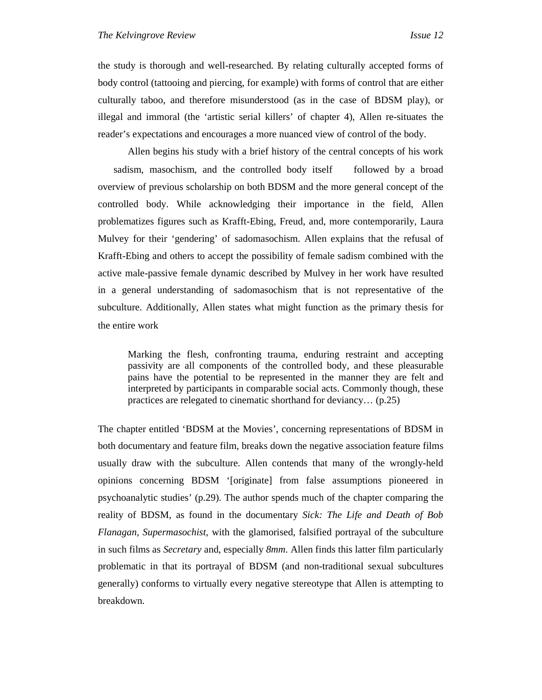the study is thorough and well-researched. By relating culturally accepted forms of body control (tattooing and piercing, for example) with forms of control that are either culturally taboo, and therefore misunderstood (as in the case of BDSM play), or illegal and immoral (the 'artistic serial killers' of chapter 4), Allen re-situates the reader's expectations and encourages a more nuanced view of control of the body.

 Allen begins his study with a brief history of the central concepts of his work - sadism, masochism, and the controlled body itself - followed by a broad overview of previous scholarship on both BDSM and the more general concept of the controlled body. While acknowledging their importance in the field, Allen problematizes figures such as Krafft-Ebing, Freud, and, more contemporarily, Laura Mulvey for their 'gendering' of sadomasochism. Allen explains that the refusal of Krafft-Ebing and others to accept the possibility of female sadism combined with the active male-passive female dynamic described by Mulvey in her work have resulted in a general understanding of sadomasochism that is not representative of the subculture. Additionally, Allen states what might function as the primary thesis for the entire work

Marking the flesh, confronting trauma, enduring restraint and accepting passivity are all components of the controlled body, and these pleasurable pains have the potential to be represented in the manner they are felt and interpreted by participants in comparable social acts. Commonly though, these practices are relegated to cinematic shorthand for deviancy… (p.25)

The chapter entitled 'BDSM at the Movies', concerning representations of BDSM in both documentary and feature film, breaks down the negative association feature films usually draw with the subculture. Allen contends that many of the wrongly-held opinions concerning BDSM '[originate] from false assumptions pioneered in psychoanalytic studies' (p.29). The author spends much of the chapter comparing the reality of BDSM, as found in the documentary *Sick: The Life and Death of Bob Flanagan, Supermasochist*, with the glamorised, falsified portrayal of the subculture in such films as *Secretary* and, especially *8mm*. Allen finds this latter film particularly problematic in that its portrayal of BDSM (and non-traditional sexual subcultures generally) conforms to virtually every negative stereotype that Allen is attempting to breakdown.